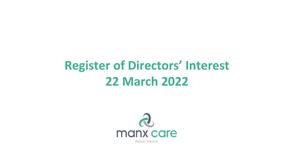## **Register of Directors' Interest 22 March 2022**

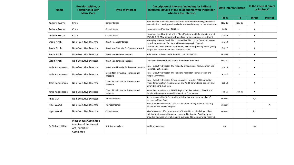| <b>Name</b>          | <b>Position within, or</b><br>relationship with<br><b>Manx Care</b>                  | <b>Type of Interest</b>                        | Description of Interest (including for indirect<br>Interests, details of the relationship with the person<br>who has the interest)                                                                                            | Date interest relates |          | Is the interest direct<br>or indirect? |                 |
|----------------------|--------------------------------------------------------------------------------------|------------------------------------------------|-------------------------------------------------------------------------------------------------------------------------------------------------------------------------------------------------------------------------------|-----------------------|----------|----------------------------------------|-----------------|
|                      |                                                                                      |                                                |                                                                                                                                                                                                                               | <b>From</b>           | To       | <b>Direct</b>                          | <b>Indirect</b> |
| <b>Andrew Foster</b> | Chair                                                                                | Other interest                                 | Remunerated Non-Executive Director of Health Education England which<br>has an indirect bearing on clinical education and training on the Isle of Man                                                                         | <b>Nov-19</b>         | $Nov-23$ | x                                      |                 |
| <b>Andrew Foster</b> | Chair                                                                                | Other interest                                 | Unremunerated Trustee of ENT UK                                                                                                                                                                                               | Jul-20                |          | x                                      |                 |
| Andrew Foster        | Chair                                                                                | Other interest                                 | Unremunerated President of the Global Training and Education Centre at<br>WWL NHS FT. May be used by Manx Care for international recruitment                                                                                  | Oct-19                |          | X                                      |                 |
| Sarah Pinch          | Non-Executive Director                                                               | <b>Direct Financial Interests</b>              | Managing Director, Sarah Pinch Limited T/A Pinch Point Communications,<br>consultancy provider for many NHS organisations in England                                                                                          | $Jan-13$              |          | X                                      |                 |
| Sarah Pinch          | Non-Executive Director                                                               | Direct Non Financial Professional Interest     | Chair of The Taylor Bennett Foundation, a charity supporting BAME young<br>people into careers in PR and Communications                                                                                                       | Oct-17                |          | X                                      |                 |
| Sarah Pinch          | Non-Executive Director                                                               | Direct Non-Financial Personal                  | Independent Advisor to the Senedd, chair of REMCOM                                                                                                                                                                            | <b>Nov-18</b>         |          | X                                      |                 |
| Sarah Pinch          | Non-Executive Director                                                               | Direct Non-Financial Personal                  | Trustee of Bristol Students Union, member of REMCOM                                                                                                                                                                           | <b>Nov-20</b>         |          | X                                      |                 |
| Katie Kapernaros     | Non-Executive Director                                                               | Direct Non-Financial Professional Interests    | Non - Executive Director, The Property Ombudsman. Remuneration and<br><b>Nominations Committe</b>                                                                                                                             | Jan-19                |          | X                                      |                 |
| Katie Kapernaros     | Non-Executive Director                                                               | Direct Non-Financial Professional<br>Interests | Non - Executive Director, The Pensions Regulator. Remuneration and<br>People Committee.                                                                                                                                       | Apr-20                |          | X                                      |                 |
| Katie Kapernaros     | Non-Executive Director                                                               | Direct Non-Financial Professional<br>Interests | Non - Executive Director, Oxford University Hospitals NHS Foundation<br>Trust. Remuneration, Appointments and Audit Committees, Equality and<br>Diversity board champion.                                                     | Oct-19                |          | X                                      |                 |
| Katie Kapernaros     | Non-Executive Director                                                               | Direct Non-Financial Professional<br>Interests | Non - Executive Director, BPDTS (Digital supplier to Dept. of Work and<br>Pensions) Remuneration and Nominations Committees.                                                                                                  | Feb-19                | $Jun-21$ | X                                      |                 |
| Andy Guy             | Non-Executive Director                                                               | Indirect Interest                              | Son is employed by St Christopher's Fellowship who are a supplier of<br>services to Manx Care                                                                                                                                 | current               |          | n/a                                    |                 |
| Nigel Wood           | Non-Executive Director                                                               | Indirect Interest                              | Wife is employed by Manx care as a part-time radiographer in the X ray<br>department of Nobles Hospital                                                                                                                       | current               |          |                                        | x               |
| Nigel Wood           | Non-Executive Director                                                               | Other Interest                                 | Nigel's business offers a registered office facility to a Radiology online<br>training service owned by an un connected individual. Previously had<br>provided guidance on establishing a business. No remuneration received. | current               |          | X                                      |                 |
| Dr Richard Hillier   | Independent Committee<br>Member of the Mental<br><b>Act Legislation</b><br>Committee | Nothing to declare                             | Nothing to declare                                                                                                                                                                                                            | n/a                   |          | n/a                                    |                 |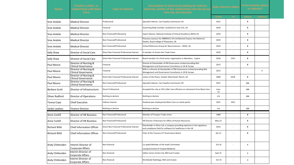| Name:               | <b>Position within, or</b><br>relationship with Manx<br>Care: | <b>Type of Interest</b>                    | <b>Description of Interest (including for indirect</b><br>Interests, details of the relationship with the persor<br>who has the interest) | <b>Date interest relates</b> |                          | Is the interest direct<br>or indirect? |                 |
|---------------------|---------------------------------------------------------------|--------------------------------------------|-------------------------------------------------------------------------------------------------------------------------------------------|------------------------------|--------------------------|----------------------------------------|-----------------|
|                     |                                                               |                                            |                                                                                                                                           | From                         | To                       | <b>Direct</b>                          | <b>Indirect</b> |
| Sree Andole         | <b>Medical Director</b>                                       | Professional                               | Specialist Advisor, Care Quality Commission UK                                                                                            | 2012                         |                          | x                                      |                 |
| Sree Andole         | <b>Medical Director</b>                                       | Financial                                  | Governing Body member, Southend on Sea CCG, UK                                                                                            | 2019                         | $\overline{a}$           | x                                      |                 |
| Sree Andole         | <b>Medical Director</b>                                       | Non-Financial/Professional                 | Expert Advisor, National Institute of Clinical Excellence (NICE) UK                                                                       | 2019                         | $\overline{\phantom{a}}$ | X                                      |                 |
| Sree Andole         | <b>Medical Director</b>                                       | Non-Financial/Professional                 | Physician assessor for MBRRACE-UK Confidential Enquiry into Maternal<br>Deaths, Royal college of Physicians, UK                           | 2019                         |                          | x                                      |                 |
| Sree Andole         | <b>Medical Director</b>                                       | Non-Financial/Professional                 | Clinical Reference Group for Neurosciences - NHSE, UK                                                                                     | 2019                         |                          | x                                      |                 |
| <b>Sally Shaw</b>   | Director of Social Care                                       | Direct Non Financial Professional Interest | A member of Unison the Trade Union                                                                                                        | 2019                         | $\overline{a}$           | x                                      |                 |
| <b>Sally Shaw</b>   | Director of Social Care                                       | Direct Non Financial Professional Interest | Board member of a third sector organisation in Aberdeen - Inspire                                                                         | 2018                         | 2021                     | x                                      |                 |
| Paul Moore          | Director of Nursing &<br><b>Clinical Governance</b>           | Financial                                  | Director & Shareholder of PM Governance Limited providing Risk<br>Management and Governance Consultancy in UK & Europe                    | 2013                         |                          | x                                      |                 |
| Paul Moore          | Director of Nursing &<br><b>Clinical Governance</b>           | Financial                                  | Wife is a Director & Shareholder of PM Governance Limited providing Risk<br>Management and Governance Consultancy in UK & Europe          | 2013                         | $\overline{a}$           |                                        | X               |
| Paul Moore          | Director of Nursing &<br><b>Clinical Governance</b>           | Direct Non Financial Professional Interest | Justice of the Peace, Greater Manchester Bench, UK                                                                                        | 2008                         | 2018                     | x                                      |                 |
| Paul Moore          | Director of Nursing &<br><b>Clinical Governance</b>           | Non-Financial/Professional                 | Specialist Advisor, Care Quality Commission UK                                                                                            | 2015                         | $\overline{\phantom{a}}$ | n/a                                    |                 |
| Barbara Scott       | Director of Infrastructure                                    | <b>Direct Professional</b>                 | Accepted the role as CEO, Elder Care effective on retirement from Manx Care                                                               | June-<br>22                  |                          | n/a                                    |                 |
| Oliver Radford      | Director of Operations                                        | Nothing to declare                         | Nothing to declare                                                                                                                        | n/a                          |                          | n/a                                    |                 |
| <b>Teresa Cope</b>  | <b>Chief Executive</b>                                        | Indirect interest                          | Husband was employed by Manx Care as a bank porter                                                                                        | 2021                         | 2021                     |                                        |                 |
| Jackie Lawless      | <b>Finance Director</b>                                       | Nothing to declare                         | Nothing to declare                                                                                                                        | n/a                          |                          | n/a                                    |                 |
| Anne Corkill        | <b>Director of HR Business</b>                                | Non-Financial/Professional                 | Member of Prospect Trade Union                                                                                                            | 1989                         | $\overline{\phantom{a}}$ | x                                      |                 |
| <b>Anne Corkill</b> | Director of HR Business                                       | Non-Financial/Professional                 | HR Director of Business for Office of Human Resources                                                                                     | May-21                       |                          | x                                      |                 |
| <b>Richard Wild</b> | <b>Chief Information Officer</b>                              | Direct Non Financial Professional Interest | Shareholder in Ethos Ltd, a company providing expertise in the regulatory<br>and compliance field for software for healthcare in the UK   | 2014                         | $\overline{\phantom{a}}$ | x                                      |                 |
| <b>Richard Wild</b> | <b>Chief Information Officer</b>                              | Non-Financial/Professional                 | Chair of the Treasury ICT Governance Board                                                                                                | Apr-21                       |                          | x                                      |                 |
| Andy Chittenden     | Interim Director of<br><b>Corporate Affairs</b>               | Non-financial                              | Co-opted Member of the Audit Committee<br>Liverpool School of Tropical Medicine                                                           | Oct 16                       |                          | $\pmb{\mathsf{x}}$                     |                 |
| Andy Chittenden     | Interim Director of<br>Corporate Affairs                      | Non-financial                              | Sefton Carers Centre Ltd, NED and Trustee                                                                                                 | Sept 19                      | $\overline{\phantom{a}}$ | $\pmb{\mathsf{x}}$                     |                 |
| Andy Chittenden     | Interim Director of<br>Corporate Affairs                      | Non-financial                              | Worldwide Radiology, NED and trustee                                                                                                      | Oct 19                       | $\overline{a}$           | $\pmb{\mathsf{x}}$                     |                 |